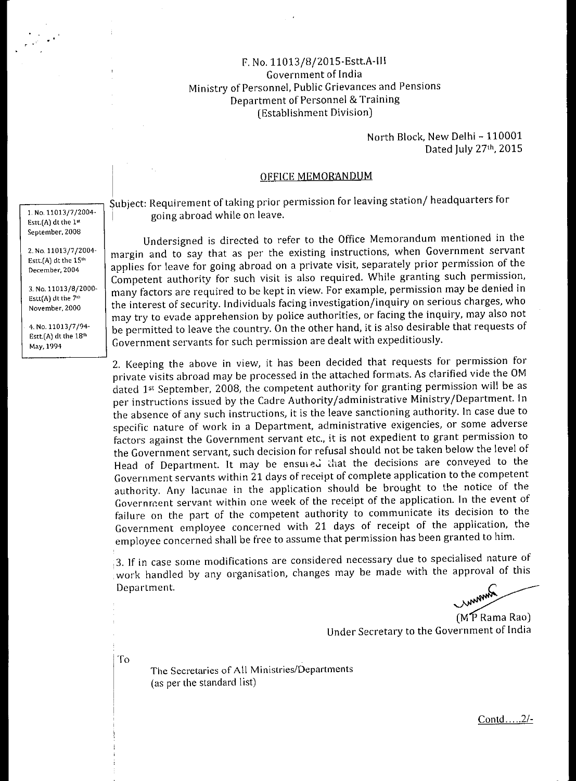### F. No. 11013/8/2015-Estt.A-111 Government of India Ministry of Personnel, Public Grievances and Pensions Department of Personnel & Training (Establishment Division)

### North Block, New Delhi - 110001 Dated July 27th, 2015

#### OFFICE MEMORANDUM

Subject: Requirement of taking prior permission for leaving station/ headquarters for going abroad while on leave.

Undersigned is directed to refer to the Office Memorandum mentioned in the margin and to say that as per the existing instructions, when Government servant applies for leave for going abroad on a private visit, separately prior permission of the Competent authority for such visit is also required. While granting such permission, many factors are required to be kept in view. For example, permission may be denied in the interest of security. Individuals facing investigation/inquiry on serious charges, who may try to evade apprehension by police authorities, or facing the inquiry, may also not be permitted to leave the country. On the other hand, it is also desirable that requests of Government servants for such permission are dealt with expeditiously.

2. Keeping the above in view, it has been decided that requests for permission for private visits abroad may be processed in the attached formats. As clarified vide the OM dated 1st September, 2008, the competent authority for granting permission will be as per instructions issued by the Cadre Authority/administrative Ministry/Department. In the absence of any such instructions, it is the leave sanctioning authority. In case due to specific nature of work in a Department, administrative exigencies, or some adverse factors against the Government servant etc., it is not expedient to grant permission to the Government servant, such decision for refusal should not be taken below the level of Head of Department. It may be ensured that the decisions are conveyed to the Government servants within 21 days of receipt of complete application to the competent authority. Any lacunae in the application should be brought to the notice of the Government servant within one week of the receipt of the application. In the event of failure on the part of the competent authority to communicate its decision to the Government employee concerned with 21 days of receipt of the application, the employee concerned shall be free to assume that permission has been granted to him.

3. If in case some modifications are considered necessary due to specialised nature of work handled by any organisation, changes may be made with the approval of this Department.

month

(MP Rama Rao) Under Secretary to the Government of India

The Secretaries of All Ministries/Departments (as per the standard list)

To

1. No. 11013/7/2004- Estt. $(A)$  dt the  $1<sup>st</sup>$ September, 2008

2. No. 11013/7/2004- Estt.(A) dt the  $15<sup>th</sup>$ December, 2004

3. No. 11013/8/2000- Estt(A) dt the 7th November, 2000

4. No. 11013/7/94- Estt.(A) dt the 18th May, 1994

 $Contd$ .... $2/-$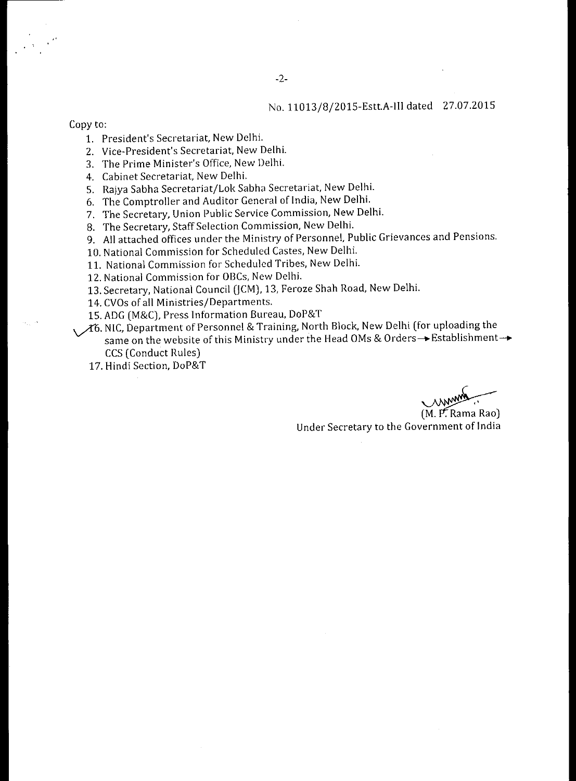## No. 11013/8/ 2015-Estt.A-Ill dated 27.07.2015

Copy to:

- 1. President's Secretariat, New Delhi.
- 2. Vice-President's Secretariat, New Delhi.
- 3. The Prime Minister's Office, New Delhi.
- 4. Cabinet Secretariat, New Delhi.
- S. Rajya Sabha Secretariat/Lok Sabha Secretariat, New Delhi.
- 6. The Comptroller and Auditor General of India, New Delhi.
- 7. The Secretary, Union Public Service Commission, New Delhi.
- 8. The Secretary, Staff Selection Commission, New Delhi.
- 9. All attached offices under the Ministry of Personnel, Public Grievances and Pensions.
- 10. National Commission for Scheduled Castes, New Delhi.
- 11. National Commission for Scheduled Tribes, New Delhi.
- 12. National Commission for OBCs, New Delhi.
- 13. Secretary, National Council (JCM), 13, Feroze Shah Road, New Delhi.
- 14. CVOs of all Ministries/Departments.
- 15. ADG (M&C), Press Information Bureau, DoP&T
- $A$ 6. NIC, Department of Personnel & Training, North Block, New Delhi (for uploading the same on the website of this Ministry under the Head OMs & Orders → Establishment → CCS (Conduct Rules)
	- 17. Hindi Section, DoP&T

 $(M. P. Rama Rao)$ Under Secretary to the Government of India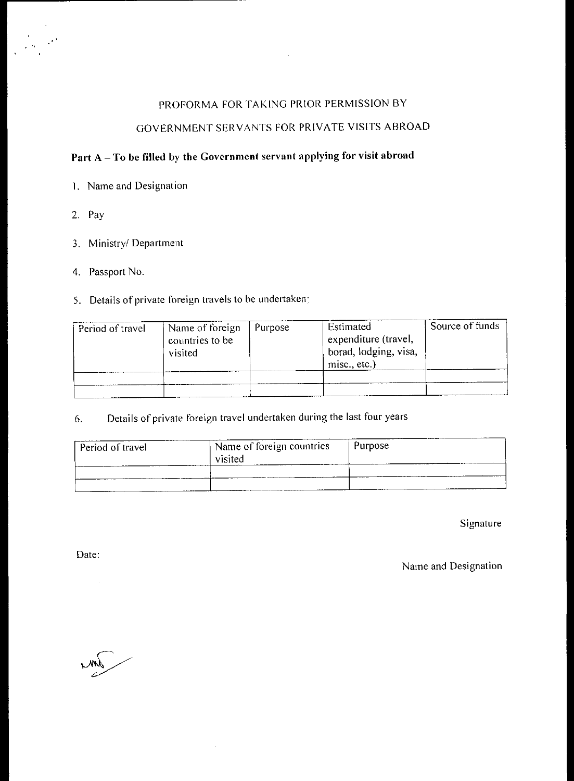# PROFORMA FOR TAKING PRIOR PERMISSION BY

 $\sim$   $\sim$ 

# GOVERNMENT SERVANTS FOR PRIVATE VISITS ABROAD

# Part A — To be filled by the Government servant applying for visit abroad

- I. Name and Designation
- 2. Pay
- 3. Ministry/ Department
- 4. Passport No.

# 5. Details of private foreign travels to be undertaken:

| Period of travel | Name of foreign<br>countries to be<br>visited | <b>Purpose</b> | Estimated<br>expenditure (travel,<br>borad, lodging, visa,<br>misc., etc.) | Source of funds |
|------------------|-----------------------------------------------|----------------|----------------------------------------------------------------------------|-----------------|
|                  |                                               |                |                                                                            |                 |

6. Details of private foreign travel undertaken during the last four years

 $\bar{z}$ 

| Period of travel | Name of foreign countries<br>visited | Purpose |
|------------------|--------------------------------------|---------|
|                  |                                      |         |

Signature

Date:

Name and Designation

 $\sqrt{m}$